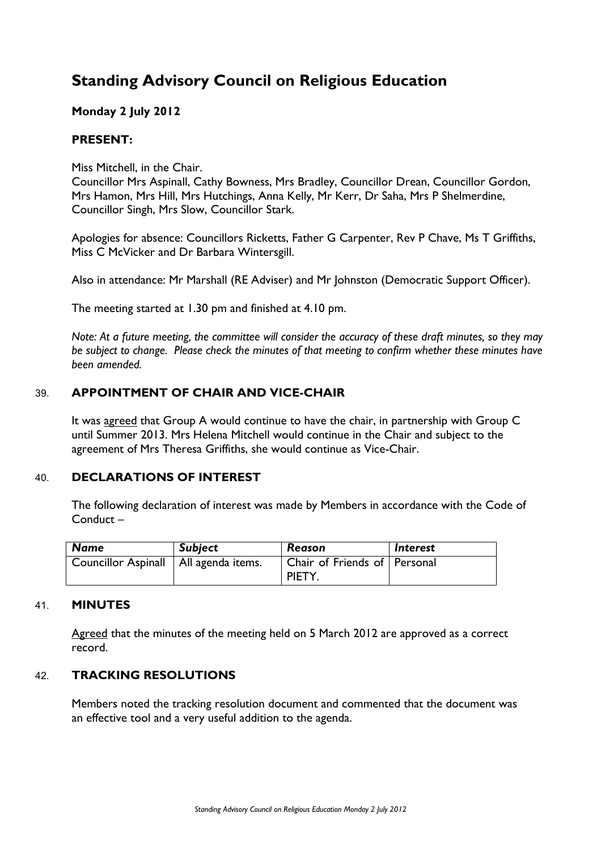# **Standing Advisory Council on Religious Education**

# **Monday 2 July 2012**

## **PRESENT:**

Miss Mitchell, in the Chair.

Councillor Mrs Aspinall, Cathy Bowness, Mrs Bradley, Councillor Drean, Councillor Gordon, Mrs Hamon, Mrs Hill, Mrs Hutchings, Anna Kelly, Mr Kerr, Dr Saha, Mrs P Shelmerdine, Councillor Singh, Mrs Slow, Councillor Stark.

Apologies for absence: Councillors Ricketts, Father G Carpenter, Rev P Chave, Ms T Griffiths, Miss C McVicker and Dr Barbara Wintersgill.

Also in attendance: Mr Marshall (RE Adviser) and Mr Johnston (Democratic Support Officer).

The meeting started at 1.30 pm and finished at 4.10 pm.

*Note: At a future meeting, the committee will consider the accuracy of these draft minutes, so they may be subject to change. Please check the minutes of that meeting to confirm whether these minutes have been amended.*

## 39. **APPOINTMENT OF CHAIR AND VICE-CHAIR**

It was agreed that Group A would continue to have the chair, in partnership with Group C until Summer 2013. Mrs Helena Mitchell would continue in the Chair and subject to the agreement of Mrs Theresa Griffiths, she would continue as Vice-Chair.

#### 40. **DECLARATIONS OF INTEREST**

The following declaration of interest was made by Members in accordance with the Code of Conduct –

| Name                                    | <b>Subject</b> | Reason                                 | <i><b>Interest</b></i> |
|-----------------------------------------|----------------|----------------------------------------|------------------------|
| Councillor Aspinall   All agenda items. |                | Chair of Friends of Personal<br>PIETY. |                        |

#### 41. **MINUTES**

Agreed that the minutes of the meeting held on 5 March 2012 are approved as a correct record.

#### 42. **TRACKING RESOLUTIONS**

Members noted the tracking resolution document and commented that the document was an effective tool and a very useful addition to the agenda.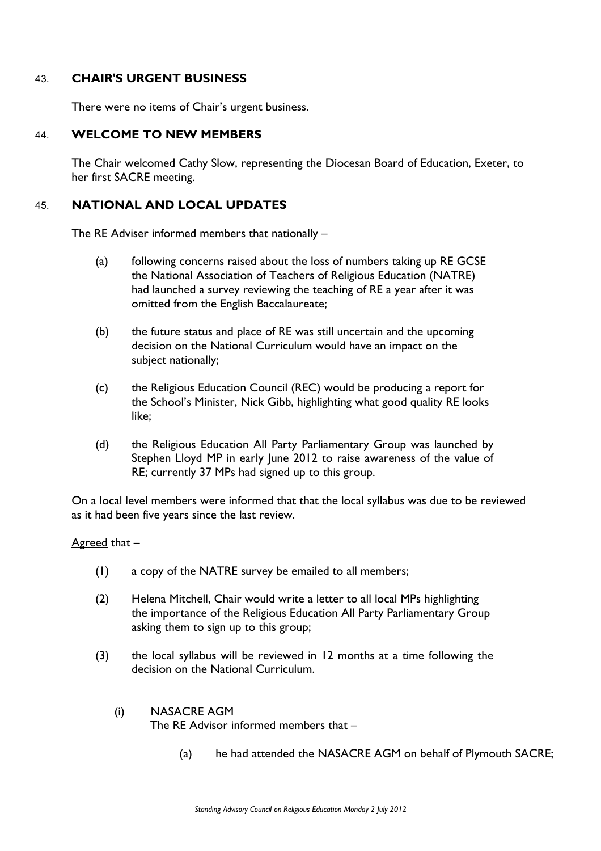## 43. **CHAIR'S URGENT BUSINESS**

There were no items of Chair's urgent business.

#### 44. **WELCOME TO NEW MEMBERS**

The Chair welcomed Cathy Slow, representing the Diocesan Board of Education, Exeter, to her first SACRE meeting.

## 45. **NATIONAL AND LOCAL UPDATES**

The RE Adviser informed members that nationally –

- (a) following concerns raised about the loss of numbers taking up RE GCSE the National Association of Teachers of Religious Education (NATRE) had launched a survey reviewing the teaching of RE a year after it was omitted from the English Baccalaureate;
- (b) the future status and place of RE was still uncertain and the upcoming decision on the National Curriculum would have an impact on the subject nationally;
- (c) the Religious Education Council (REC) would be producing a report for the School's Minister, Nick Gibb, highlighting what good quality RE looks like;
- (d) the Religious Education All Party Parliamentary Group was launched by Stephen Lloyd MP in early June 2012 to raise awareness of the value of RE; currently 37 MPs had signed up to this group.

On a local level members were informed that that the local syllabus was due to be reviewed as it had been five years since the last review.

#### Agreed that –

- (1) a copy of the NATRE survey be emailed to all members;
- (2) Helena Mitchell, Chair would write a letter to all local MPs highlighting the importance of the Religious Education All Party Parliamentary Group asking them to sign up to this group;
- (3) the local syllabus will be reviewed in 12 months at a time following the decision on the National Curriculum.
	- (i) NASACRE AGM The RE Advisor informed members that –
		- (a) he had attended the NASACRE AGM on behalf of Plymouth SACRE;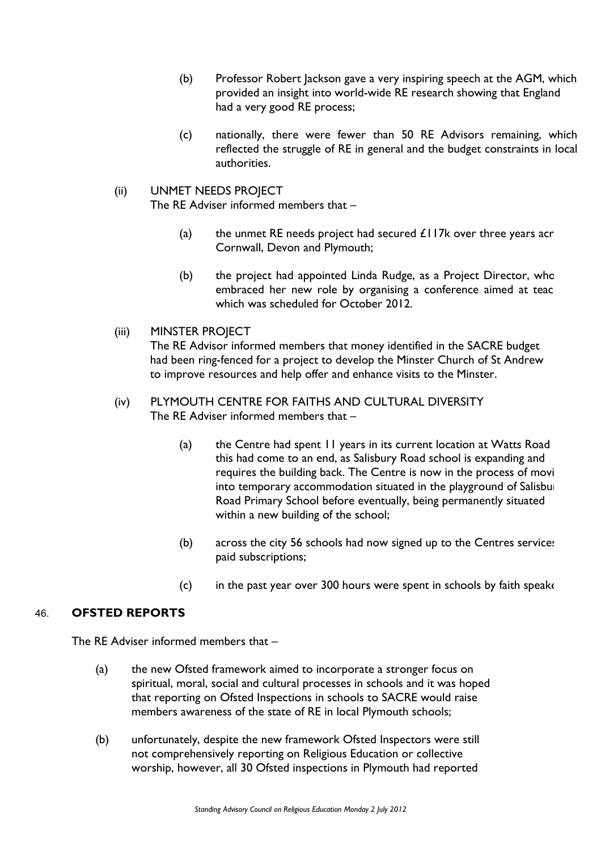- (b) Professor Robert Jackson gave a very inspiring speech at the AGM, which provided an insight into world-wide RE research showing that England had a very good RE process;
- (c) nationally, there were fewer than 50 RE Advisors remaining, which reflected the struggle of RE in general and the budget constraints in local authorities.

## (ii) UNMET NEEDS PROJECT

The RE Adviser informed members that –

- (a) the unmet RE needs project had secured  $£117k$  over three years acr Cornwall, Devon and Plymouth;
- (b) the project had appointed Linda Rudge, as a Project Director, who embraced her new role by organising a conference aimed at teac which was scheduled for October 2012.

# (iii) MINSTER PROJECT

The RE Advisor informed members that money identified in the SACRE budget had been ring-fenced for a project to develop the Minster Church of St Andrew to improve resources and help offer and enhance visits to the Minster.

## (iv) PLYMOUTH CENTRE FOR FAITHS AND CULTURAL DIVERSITY The RE Adviser informed members that –

- (a) the Centre had spent  $11$  years in its current location at Watts Road this had come to an end, as Salisbury Road school is expanding and requires the building back. The Centre is now in the process of movi into temporary accommodation situated in the playground of Salisbur Road Primary School before eventually, being permanently situated within a new building of the school;
- (b) across the city  $56$  schools had now signed up to the Centres services paid subscriptions;
- (c) in the past year over 300 hours were spent in schools by faith speakers.

# 46. **OFSTED REPORTS**

The RE Adviser informed members that –

- (a) the new Ofsted framework aimed to incorporate a stronger focus on spiritual, moral, social and cultural processes in schools and it was hoped that reporting on Ofsted Inspections in schools to SACRE would raise members awareness of the state of RE in local Plymouth schools;
- (b) unfortunately, despite the new framework Ofsted Inspectors were still not comprehensively reporting on Religious Education or collective worship, however, all 30 Ofsted inspections in Plymouth had reported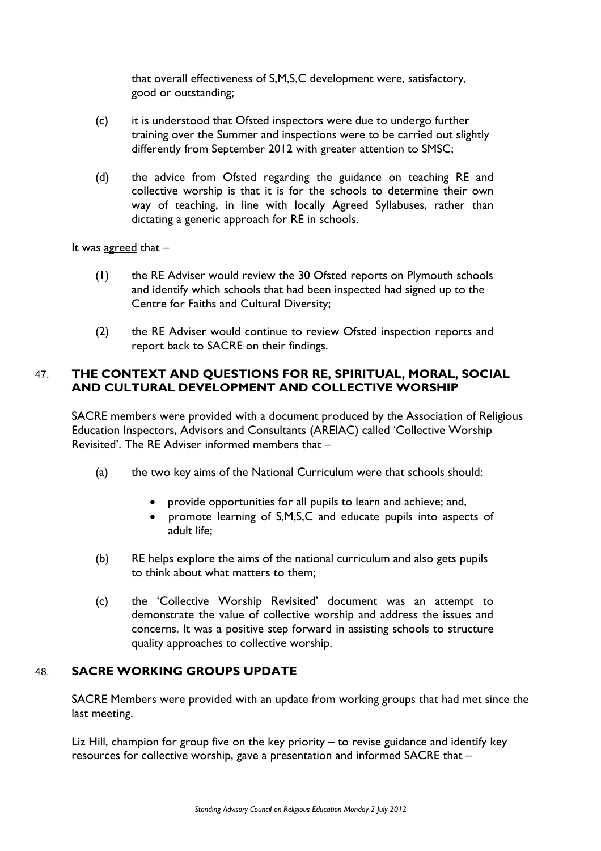that overall effectiveness of S,M,S,C development were, satisfactory, good or outstanding;

- (c) it is understood that Ofsted inspectors were due to undergo further training over the Summer and inspections were to be carried out slightly differently from September 2012 with greater attention to SMSC;
- (d) the advice from Ofsted regarding the guidance on teaching RE and collective worship is that it is for the schools to determine their own way of teaching, in line with locally Agreed Syllabuses, rather than dictating a generic approach for RE in schools.

It was agreed that –

- (1) the RE Adviser would review the 30 Ofsted reports on Plymouth schools and identify which schools that had been inspected had signed up to the Centre for Faiths and Cultural Diversity;
- (2) the RE Adviser would continue to review Ofsted inspection reports and report back to SACRE on their findings.

# 47. **THE CONTEXT AND QUESTIONS FOR RE, SPIRITUAL, MORAL, SOCIAL AND CULTURAL DEVELOPMENT AND COLLECTIVE WORSHIP**

SACRE members were provided with a document produced by the Association of Religious Education Inspectors, Advisors and Consultants (AREIAC) called 'Collective Worship Revisited'. The RE Adviser informed members that –

- (a) the two key aims of the National Curriculum were that schools should:
	- provide opportunities for all pupils to learn and achieve; and,
	- promote learning of S,M,S,C and educate pupils into aspects of adult life;
- (b) RE helps explore the aims of the national curriculum and also gets pupils to think about what matters to them;
- (c) the 'Collective Worship Revisited' document was an attempt to demonstrate the value of collective worship and address the issues and concerns. It was a positive step forward in assisting schools to structure quality approaches to collective worship.

# 48. **SACRE WORKING GROUPS UPDATE**

SACRE Members were provided with an update from working groups that had met since the last meeting.

Liz Hill, champion for group five on the key priority – to revise guidance and identify key resources for collective worship, gave a presentation and informed SACRE that –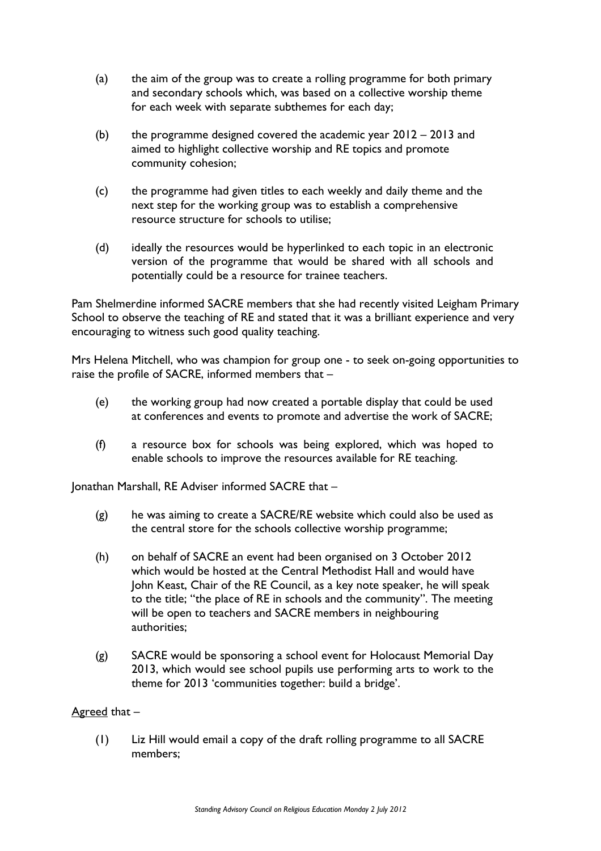- (a) the aim of the group was to create a rolling programme for both primary and secondary schools which, was based on a collective worship theme for each week with separate subthemes for each day;
- (b) the programme designed covered the academic year  $2012 2013$  and aimed to highlight collective worship and RE topics and promote community cohesion;
- (c) the programme had given titles to each weekly and daily theme and the next step for the working group was to establish a comprehensive resource structure for schools to utilise;
- (d) ideally the resources would be hyperlinked to each topic in an electronic version of the programme that would be shared with all schools and potentially could be a resource for trainee teachers.

Pam Shelmerdine informed SACRE members that she had recently visited Leigham Primary School to observe the teaching of RE and stated that it was a brilliant experience and very encouraging to witness such good quality teaching.

Mrs Helena Mitchell, who was champion for group one - to seek on-going opportunities to raise the profile of SACRE, informed members that –

- (e) the working group had now created a portable display that could be used at conferences and events to promote and advertise the work of SACRE;
- (f) a resource box for schools was being explored, which was hoped to enable schools to improve the resources available for RE teaching.

Jonathan Marshall, RE Adviser informed SACRE that –

- (g) he was aiming to create a SACRE/RE website which could also be used as the central store for the schools collective worship programme;
- (h) on behalf of SACRE an event had been organised on 3 October 2012 which would be hosted at the Central Methodist Hall and would have John Keast, Chair of the RE Council, as a key note speaker, he will speak to the title; "the place of RE in schools and the community". The meeting will be open to teachers and SACRE members in neighbouring authorities;
- (g) SACRE would be sponsoring a school event for Holocaust Memorial Day 2013, which would see school pupils use performing arts to work to the theme for 2013 'communities together: build a bridge'.

# Agreed that –

(1) Liz Hill would email a copy of the draft rolling programme to all SACRE members;